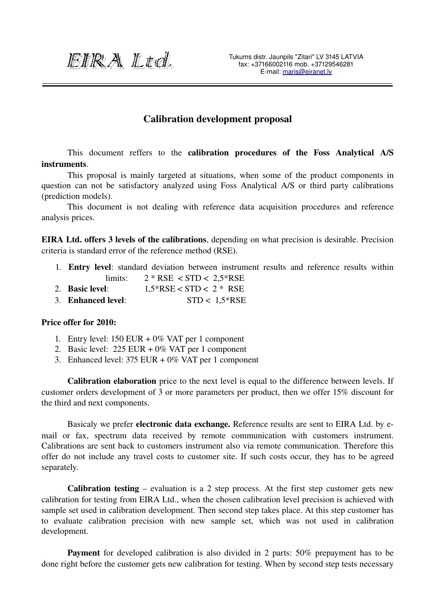EIRA Ltd.

## Calibration development proposal

This document reffers to the calibration procedures of the Foss Analytical A/S instruments.

This proposal is mainly targeted at situations, when some of the product components in question can not be satisfactory analyzed using Foss Analytical A/S or third party calibrations (prediction models).

This document is not dealing with reference data acquisition procedures and reference analysis prices.

EIRA Ltd. offers 3 levels of the calibrations, depending on what precision is desirable. Precision criteria is standard error of the reference method (RSE).

- 1. Entry level: standard deviation between instrument results and reference results within limits:  $2 * RSE < STD < 2.5 * RSE$
- 2. Basic level:  $1.5*RSE < STD < 2*RSE$
- 3. Enhanced level: STD < 1,5\*RSE

## Price offer for 2010:

- 1. Entry level: 150 EUR + 0% VAT per 1 component
- 2. Basic level: 225 EUR + 0% VAT per 1 component
- 3. Enhanced level: 375 EUR + 0% VAT per 1 component

Calibration elaboration price to the next level is equal to the difference between levels. If customer orders development of 3 or more parameters per product, then we offer 15% discount for the third and next components.

Basicaly we prefer electronic data exchange. Reference results are sent to EIRA Ltd. by email or fax, spectrum data received by remote communication with customers instrument. Calibrations are sent back to customers instrument also via remote communication. Therefore this offer do not include any travel costs to customer site. If such costs occur, they has to be agreed separately.

Calibration testing  $-$  evaluation is a 2 step process. At the first step customer gets new calibration for testing from EIRA Ltd., when the chosen calibration level precision is achieved with sample set used in calibration development. Then second step takes place. At this step customer has to evaluate calibration precision with new sample set, which was not used in calibration development.

Payment for developed calibration is also divided in 2 parts: 50% prepayment has to be done right before the customer gets new calibration for testing. When by second step tests necessary